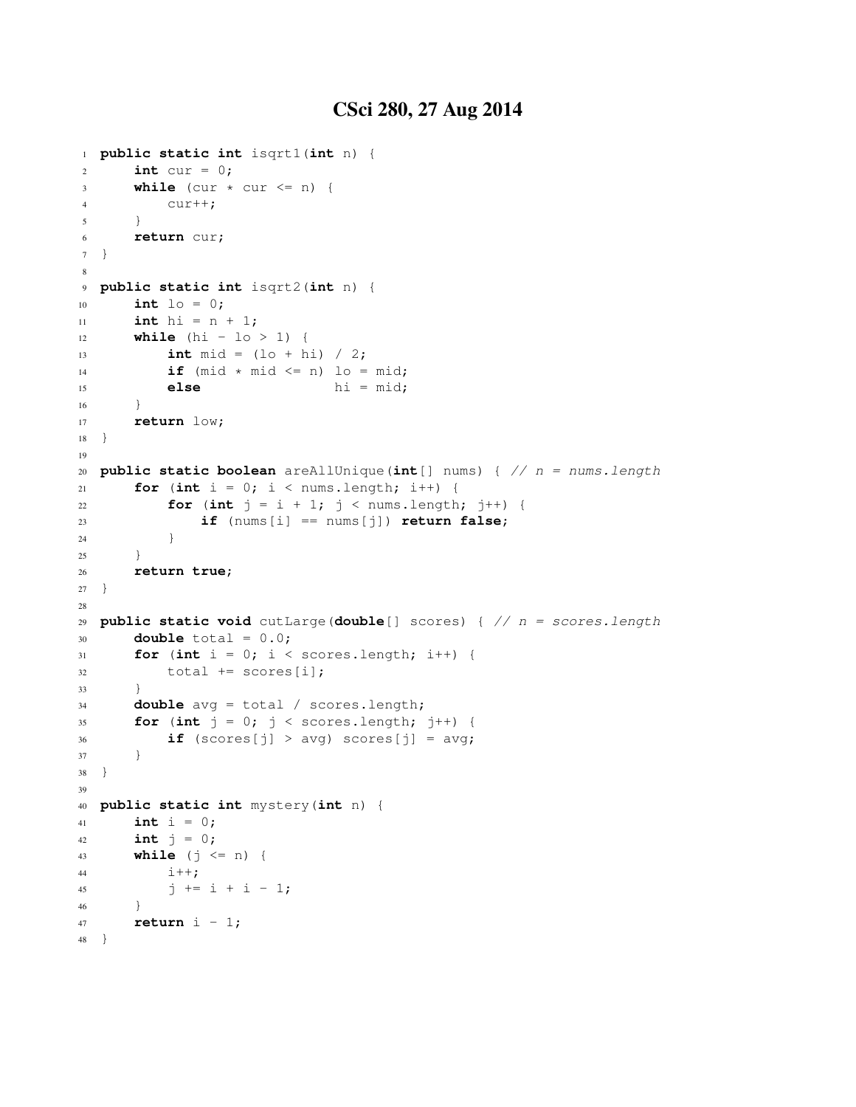```
1 public static int isqrt1(int n) {
2 int cur = 0;
\text{3} while (cur \times cur \leq n) {
4 cur++;
5 }
6 return cur;
7 }
8
9 public static int isqrt2(int n) {
10 int lo = 0;
11 int hi = n + 1;
12 while (hi - lo > 1) {
13 int mid = (lo + hi) / 2;
14 if (mid \star mid \leq n) lo = mid;
15 else hi = mid;
16 }
17 return low;
18 }
19
20 public static boolean areAllUnique(int[] nums) { // n = nums.length
21 for (int i = 0; i < nums.length; i++) {
22 for (int j = i + 1; j < nums.length; j++) {
23 if (nums[i] == nums[j]) return false;
24 }
25 }
26 return true;
27 }
28
29 public static void cutLarge(double[] scores) { // n = scores.length
30 double total = 0.0;
31 for (int i = 0; i < scores.length; i++) {
32 total += scores[i];
33 }
34 double avg = total / scores.length;
35 for (int j = 0; j < scores.length; j++) {
\textbf{if} (scores[j] > avg) scores[j] = avg;
37 }
38 }
39
40 public static int mystery(int n) {
41 int i = 0;
42 int j = 0;
43 while (j <= n) {
44 1++;45 j \neq i + i - 1;46 }
47 return i - 1;
48 }
```